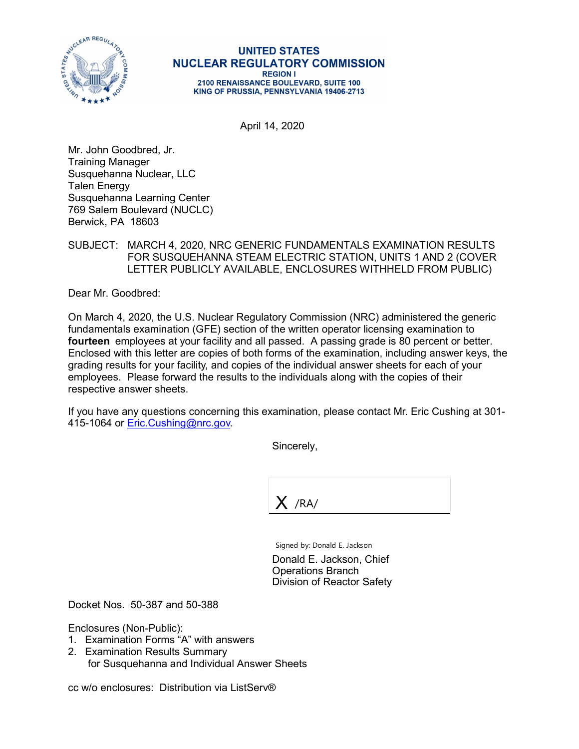

## **UNITED STATES NUCLEAR REGULATORY COMMISSION REGION I**

2100 RENAISSANCE BOULEVARD, SUITE 100 KING OF PRUSSIA, PENNSYLVANIA 19406-2713

April 14, 2020

Mr. John Goodbred, Jr. Training Manager Susquehanna Nuclear, LLC Talen Energy Susquehanna Learning Center 769 Salem Boulevard (NUCLC) Berwick, PA 18603

## SUBJECT: MARCH 4, 2020, NRC GENERIC FUNDAMENTALS EXAMINATION RESULTS FOR SUSQUEHANNA STEAM ELECTRIC STATION, UNITS 1 AND 2 (COVER LETTER PUBLICLY AVAILABLE, ENCLOSURES WITHHELD FROM PUBLIC)

Dear Mr. Goodbred:

On March 4, 2020, the U.S. Nuclear Regulatory Commission (NRC) administered the generic fundamentals examination (GFE) section of the written operator licensing examination to **fourteen** employees at your facility and all passed. A passing grade is 80 percent or better. Enclosed with this letter are copies of both forms of the examination, including answer keys, the grading results for your facility, and copies of the individual answer sheets for each of your employees. Please forward the results to the individuals along with the copies of their respective answer sheets.

If you have any questions concerning this examination, please contact Mr. Eric Cushing at 301- 415-1064 or [Eric.Cushing@nrc.gov.](mailto:Eric.Cushing@nrc.gov)

Sincerely,

 $X$  /RA/

Signed by: Donald E. Jackson

Donald E. Jackson, Chief Operations Branch Division of Reactor Safety

Docket Nos. 50-387 and 50-388

Enclosures (Non-Public):

- 1. Examination Forms "A" with answers
- 2. Examination Results Summary for Susquehanna and Individual Answer Sheets

cc w/o enclosures: Distribution via ListServ®